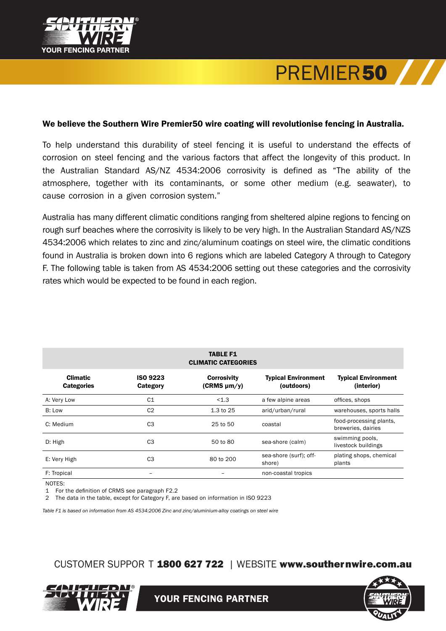

## PREMIER**50**

## We believe the Southern Wire Premier50 wire coating will revolutionise fencing in Australia.

To help understand this durability of steel fencing it is useful to understand the effects of corrosion on steel fencing and the various factors that affect the longevity of this product. In the Australian Standard AS/NZ 4534:2006 corrosivity is defined as "The ability of the atmosphere, together with its contaminants, or some other medium (e.g. seawater), to cause corrosion in a given corrosion system."

Australia has many different climatic conditions ranging from sheltered alpine regions to fencing on rough surf beaches where the corrosivity is likely to be very high. In the Australian Standard AS/NZS 4534:2006 which relates to zinc and zinc/aluminum coatings on steel wire, the climatic conditions found in Australia is broken down into 6 regions which are labeled Category A through to Category F. The following table is taken from AS 4534:2006 setting out these categories and the corrosivity rates which would be expected to be found in each region.

| <b>TABLE F1</b><br><b>CLIMATIC CATEGORIES</b> |                             |                                        |                                          |                                               |
|-----------------------------------------------|-----------------------------|----------------------------------------|------------------------------------------|-----------------------------------------------|
| <b>Climatic</b><br><b>Categories</b>          | <b>ISO 9223</b><br>Category | <b>Corrosivity</b><br>$(CRMS \mu m/y)$ | <b>Typical Environment</b><br>(outdoors) | <b>Typical Environment</b><br>(interior)      |
| A: Very Low                                   | C <sub>1</sub>              | < 1.3                                  | a few alpine areas                       | offices, shops                                |
| B: Low                                        | C <sub>2</sub>              | 1.3 to 25                              | arid/urban/rural                         | warehouses, sports halls                      |
| C: Medium                                     | C <sub>3</sub>              | 25 to 50                               | coastal                                  | food-processing plants,<br>breweries, dairies |
| D: High                                       | C <sub>3</sub>              | 50 to 80                               | sea-shore (calm)                         | swimming pools,<br>livestock buildings        |
| E: Very High                                  | C <sub>3</sub>              | 80 to 200                              | sea-shore (surf); off-<br>shore)         | plating shops, chemical<br>plants             |
| F: Tropical                                   |                             |                                        | non-coastal tropics                      |                                               |

NOTES:

1 For the definition of CRMS see paragraph F2.2

2 The data in the table, except for Category F, are based on information in ISO 9223

*Table F1 is based on information from AS 4534:2006 Zinc and zinc/aluminium-alloy coatings on steel wire*

CUSTOMER SUPPOR T 1800 627 722 | WEBSITE www.southernwire.com.au



YOUR FENCING PARTNER